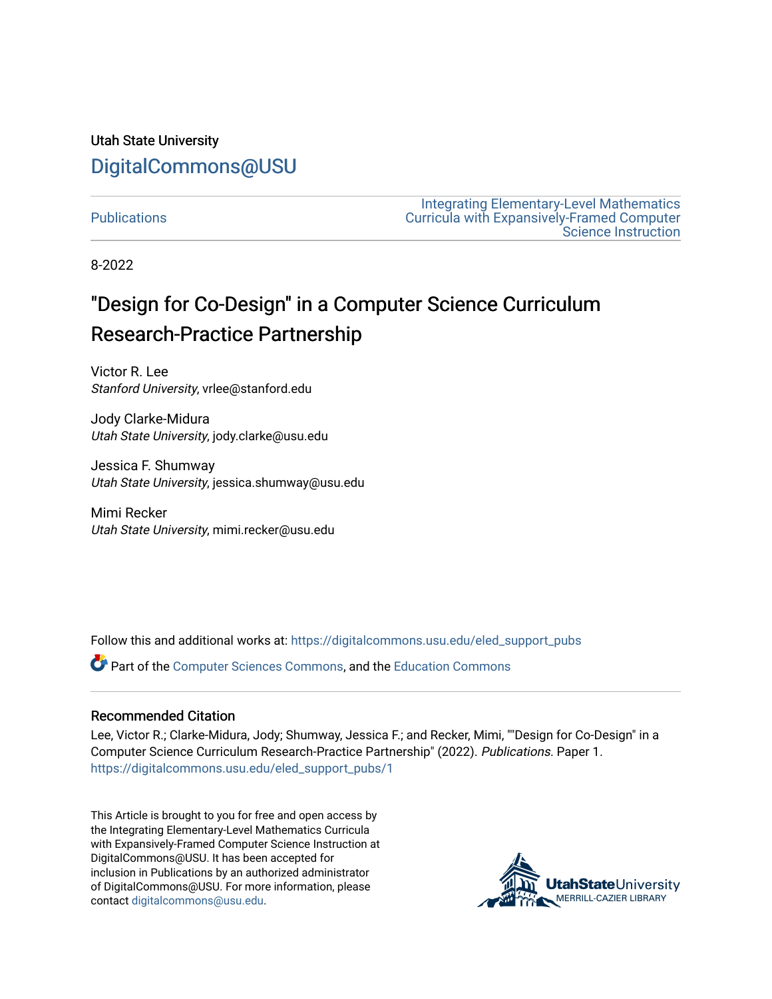## Utah State University [DigitalCommons@USU](https://digitalcommons.usu.edu/)

#### **Publications**

[Integrating Elementary-Level Mathematics](https://digitalcommons.usu.edu/eled_support)  [Curricula with Expansively-Framed Computer](https://digitalcommons.usu.edu/eled_support)  [Science Instruction](https://digitalcommons.usu.edu/eled_support) 

8-2022

# "Design for Co-Design" in a Computer Science Curriculum Research-Practice Partnership

Victor R. Lee Stanford University, vrlee@stanford.edu

Jody Clarke-Midura Utah State University, jody.clarke@usu.edu

Jessica F. Shumway Utah State University, jessica.shumway@usu.edu

Mimi Recker Utah State University, mimi.recker@usu.edu

Follow this and additional works at: [https://digitalcommons.usu.edu/eled\\_support\\_pubs](https://digitalcommons.usu.edu/eled_support_pubs?utm_source=digitalcommons.usu.edu%2Feled_support_pubs%2F1&utm_medium=PDF&utm_campaign=PDFCoverPages)

Part of the [Computer Sciences Commons](https://network.bepress.com/hgg/discipline/142?utm_source=digitalcommons.usu.edu%2Feled_support_pubs%2F1&utm_medium=PDF&utm_campaign=PDFCoverPages), and the [Education Commons](https://network.bepress.com/hgg/discipline/784?utm_source=digitalcommons.usu.edu%2Feled_support_pubs%2F1&utm_medium=PDF&utm_campaign=PDFCoverPages)

#### Recommended Citation

Lee, Victor R.; Clarke-Midura, Jody; Shumway, Jessica F.; and Recker, Mimi, ""Design for Co-Design" in a Computer Science Curriculum Research-Practice Partnership" (2022). Publications. Paper 1. [https://digitalcommons.usu.edu/eled\\_support\\_pubs/1](https://digitalcommons.usu.edu/eled_support_pubs/1?utm_source=digitalcommons.usu.edu%2Feled_support_pubs%2F1&utm_medium=PDF&utm_campaign=PDFCoverPages)

This Article is brought to you for free and open access by the Integrating Elementary-Level Mathematics Curricula with Expansively-Framed Computer Science Instruction at DigitalCommons@USU. It has been accepted for inclusion in Publications by an authorized administrator of DigitalCommons@USU. For more information, please contact [digitalcommons@usu.edu](mailto:digitalcommons@usu.edu).

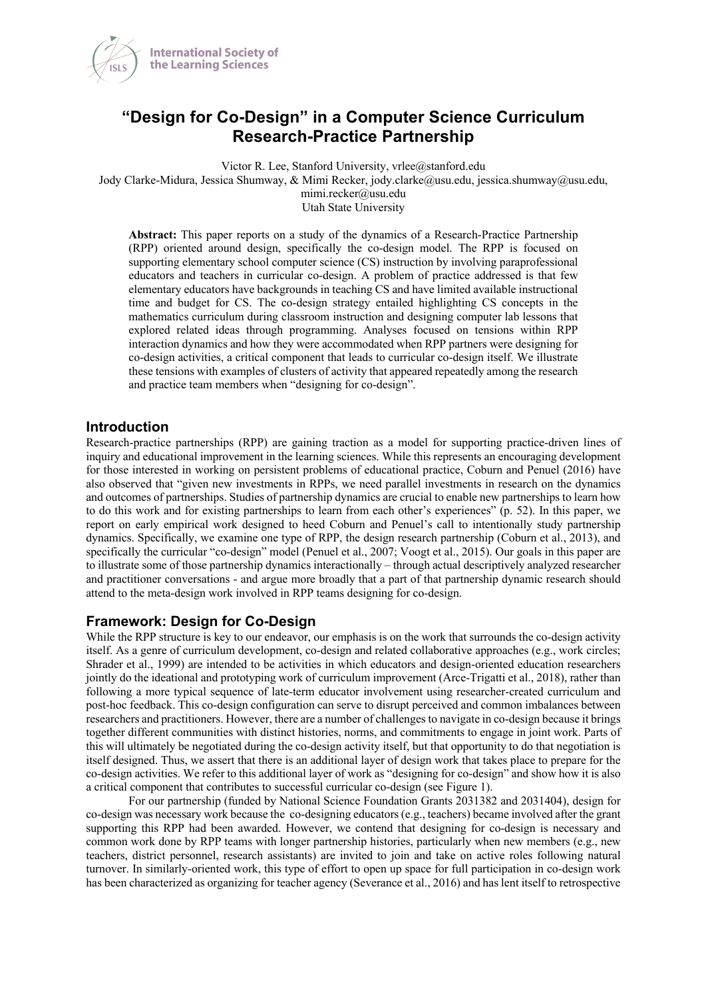

### **"Design for Co-Design" in a Computer Science Curriculum Research-Practice Partnership**

Victor R. Lee, Stanford University, vrlee@stanford.edu Jody Clarke-Midura, Jessica Shumway, & Mimi Recker, jody.clarke@usu.edu, jessica.shumway@usu.edu, mimi.recker@usu.edu Utah State University

**Abstract:** This paper reports on a study of the dynamics of a Research-Practice Partnership (RPP) oriented around design, specifically the co-design model. The RPP is focused on supporting elementary school computer science (CS) instruction by involving paraprofessional educators and teachers in curricular co-design. A problem of practice addressed is that few elementary educators have backgrounds in teaching CS and have limited available instructional time and budget for CS. The co-design strategy entailed highlighting CS concepts in the mathematics curriculum during classroom instruction and designing computer lab lessons that explored related ideas through programming. Analyses focused on tensions within RPP interaction dynamics and how they were accommodated when RPP partners were designing for co-design activities, a critical component that leads to curricular co-design itself. We illustrate these tensions with examples of clusters of activity that appeared repeatedly among the research and practice team members when "designing for co-design".

#### **Introduction**

Research-practice partnerships (RPP) are gaining traction as a model for supporting practice-driven lines of inquiry and educational improvement in the learning sciences. While this represents an encouraging development for those interested in working on persistent problems of educational practice, Coburn and Penuel (2016) have also observed that "given new investments in RPPs, we need parallel investments in research on the dynamics and outcomes of partnerships. Studies of partnership dynamics are crucial to enable new partnerships to learn how to do this work and for existing partnerships to learn from each other's experiences" (p. 52). In this paper, we report on early empirical work designed to heed Coburn and Penuel's call to intentionally study partnership dynamics. Specifically, we examine one type of RPP, the design research partnership (Coburn et al., 2013), and specifically the curricular "co-design" model (Penuel et al., 2007; Voogt et al., 2015). Our goals in this paper are to illustrate some of those partnership dynamics interactionally – through actual descriptively analyzed researcher and practitioner conversations - and argue more broadly that a part of that partnership dynamic research should attend to the meta-design work involved in RPP teams designing for co-design.

#### **Framework: Design for Co-Design**

While the RPP structure is key to our endeavor, our emphasis is on the work that surrounds the co-design activity itself. As a genre of curriculum development, co-design and related collaborative approaches (e.g., work circles; Shrader et al., 1999) are intended to be activities in which educators and design-oriented education researchers jointly do the ideational and prototyping work of curriculum improvement (Arce-Trigatti et al., 2018), rather than following a more typical sequence of late-term educator involvement using researcher-created curriculum and post-hoc feedback. This co-design configuration can serve to disrupt perceived and common imbalances between researchers and practitioners. However, there are a number of challengesto navigate in co-design because it brings together different communities with distinct histories, norms, and commitments to engage in joint work. Parts of this will ultimately be negotiated during the co-design activity itself, but that opportunity to do that negotiation is itself designed. Thus, we assert that there is an additional layer of design work that takes place to prepare for the co-design activities. We refer to this additional layer of work as "designing for co-design" and show how it is also a critical component that contributes to successful curricular co-design (see Figure 1).

For our partnership (funded by National Science Foundation Grants 2031382 and 2031404), design for co-design was necessary work because the co-designing educators (e.g., teachers) became involved after the grant supporting this RPP had been awarded. However, we contend that designing for co-design is necessary and common work done by RPP teams with longer partnership histories, particularly when new members (e.g., new teachers, district personnel, research assistants) are invited to join and take on active roles following natural turnover. In similarly-oriented work, this type of effort to open up space for full participation in co-design work has been characterized as organizing for teacher agency (Severance et al., 2016) and has lent itself to retrospective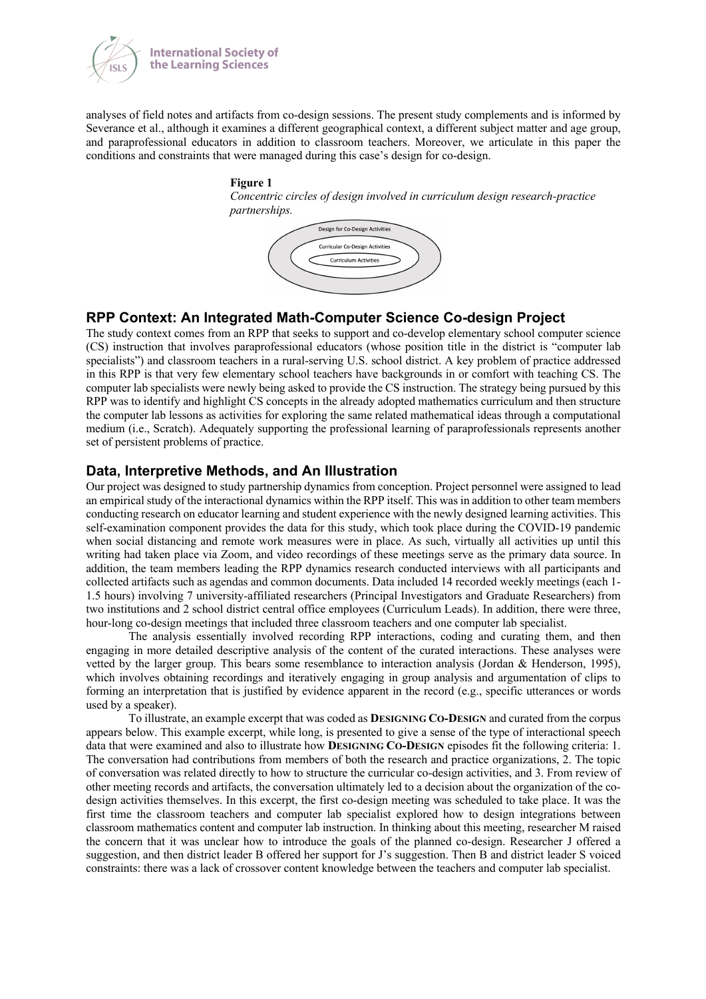

analyses of field notes and artifacts from co-design sessions. The present study complements and is informed by Severance et al., although it examines a different geographical context, a different subject matter and age group, and paraprofessional educators in addition to classroom teachers. Moreover, we articulate in this paper the conditions and constraints that were managed during this case's design for co-design.

#### **Figure 1**

*Concentric circles of design involved in curriculum design research-practice partnerships.*



#### **RPP Context: An Integrated Math-Computer Science Co-design Project**

The study context comes from an RPP that seeks to support and co-develop elementary school computer science (CS) instruction that involves paraprofessional educators (whose position title in the district is "computer lab specialists") and classroom teachers in a rural-serving U.S. school district. A key problem of practice addressed in this RPP is that very few elementary school teachers have backgrounds in or comfort with teaching CS. The computer lab specialists were newly being asked to provide the CS instruction. The strategy being pursued by this RPP was to identify and highlight CS concepts in the already adopted mathematics curriculum and then structure the computer lab lessons as activities for exploring the same related mathematical ideas through a computational medium (i.e., Scratch). Adequately supporting the professional learning of paraprofessionals represents another set of persistent problems of practice.

#### **Data, Interpretive Methods, and An Illustration**

Our project was designed to study partnership dynamics from conception. Project personnel were assigned to lead an empirical study of the interactional dynamics within the RPP itself. This was in addition to other team members conducting research on educator learning and student experience with the newly designed learning activities. This self-examination component provides the data for this study, which took place during the COVID-19 pandemic when social distancing and remote work measures were in place. As such, virtually all activities up until this writing had taken place via Zoom, and video recordings of these meetings serve as the primary data source. In addition, the team members leading the RPP dynamics research conducted interviews with all participants and collected artifacts such as agendas and common documents. Data included 14 recorded weekly meetings (each 1- 1.5 hours) involving 7 university-affiliated researchers (Principal Investigators and Graduate Researchers) from two institutions and 2 school district central office employees (Curriculum Leads). In addition, there were three, hour-long co-design meetings that included three classroom teachers and one computer lab specialist.

The analysis essentially involved recording RPP interactions, coding and curating them, and then engaging in more detailed descriptive analysis of the content of the curated interactions. These analyses were vetted by the larger group. This bears some resemblance to interaction analysis (Jordan & Henderson, 1995), which involves obtaining recordings and iteratively engaging in group analysis and argumentation of clips to forming an interpretation that is justified by evidence apparent in the record (e.g., specific utterances or words used by a speaker).

To illustrate, an example excerpt that was coded as **DESIGNING CO-DESIGN** and curated from the corpus appears below. This example excerpt, while long, is presented to give a sense of the type of interactional speech data that were examined and also to illustrate how **DESIGNING CO-DESIGN** episodes fit the following criteria: 1. The conversation had contributions from members of both the research and practice organizations, 2. The topic of conversation was related directly to how to structure the curricular co-design activities, and 3. From review of other meeting records and artifacts, the conversation ultimately led to a decision about the organization of the codesign activities themselves. In this excerpt, the first co-design meeting was scheduled to take place. It was the first time the classroom teachers and computer lab specialist explored how to design integrations between classroom mathematics content and computer lab instruction. In thinking about this meeting, researcher M raised the concern that it was unclear how to introduce the goals of the planned co-design. Researcher J offered a suggestion, and then district leader B offered her support for J's suggestion. Then B and district leader S voiced constraints: there was a lack of crossover content knowledge between the teachers and computer lab specialist.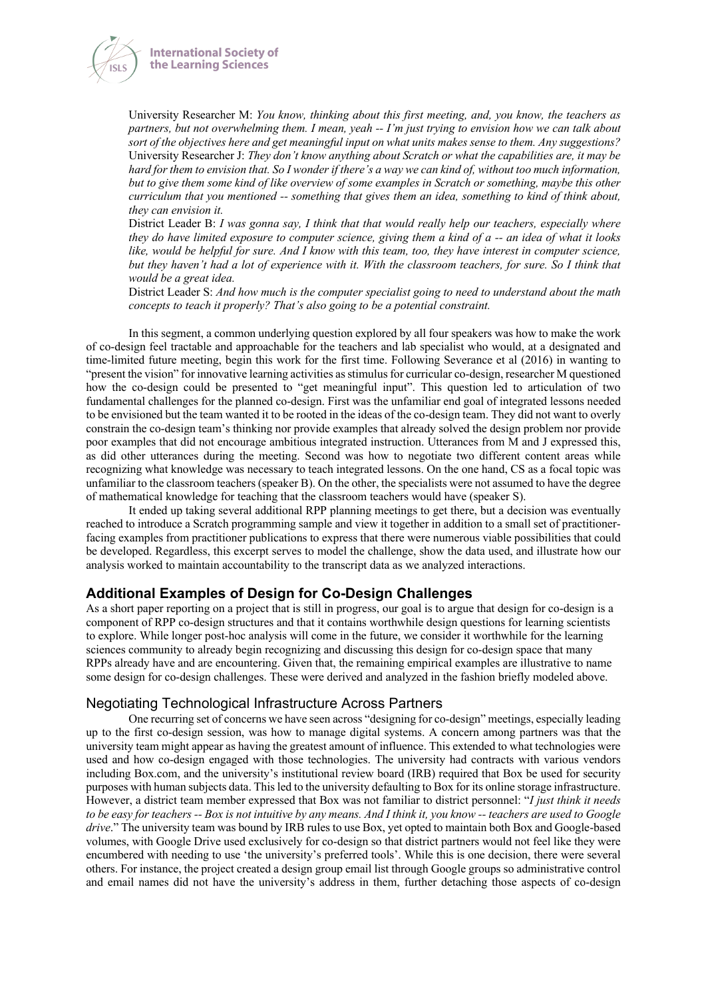



University Researcher M: *You know, thinking about this first meeting, and, you know, the teachers as partners, but not overwhelming them. I mean, yeah -- I'm just trying to envision how we can talk about sort of the objectives here and get meaningful input on what units makes sense to them. Any suggestions?* University Researcher J: *They don't know anything about Scratch or what the capabilities are, it may be hard for them to envision that. So I wonder if there's a way we can kind of, without too much information, but to give them some kind of like overview of some examples in Scratch or something, maybe this other curriculum that you mentioned -- something that gives them an idea, something to kind of think about, they can envision it.*

District Leader B: *I was gonna say, I think that that would really help our teachers, especially where they do have limited exposure to computer science, giving them a kind of a -- an idea of what it looks like, would be helpful for sure. And I know with this team, too, they have interest in computer science, but they haven't had a lot of experience with it. With the classroom teachers, for sure. So I think that would be a great idea.*

District Leader S: *And how much is the computer specialist going to need to understand about the math concepts to teach it properly? That's also going to be a potential constraint.*

In this segment, a common underlying question explored by all four speakers was how to make the work of co-design feel tractable and approachable for the teachers and lab specialist who would, at a designated and time-limited future meeting, begin this work for the first time. Following Severance et al (2016) in wanting to "present the vision" for innovative learning activities as stimulus for curricular co-design, researcher M questioned how the co-design could be presented to "get meaningful input". This question led to articulation of two fundamental challenges for the planned co-design. First was the unfamiliar end goal of integrated lessons needed to be envisioned but the team wanted it to be rooted in the ideas of the co-design team. They did not want to overly constrain the co-design team's thinking nor provide examples that already solved the design problem nor provide poor examples that did not encourage ambitious integrated instruction. Utterances from M and J expressed this, as did other utterances during the meeting. Second was how to negotiate two different content areas while recognizing what knowledge was necessary to teach integrated lessons. On the one hand, CS as a focal topic was unfamiliar to the classroom teachers (speaker B). On the other, the specialists were not assumed to have the degree of mathematical knowledge for teaching that the classroom teachers would have (speaker S).

It ended up taking several additional RPP planning meetings to get there, but a decision was eventually reached to introduce a Scratch programming sample and view it together in addition to a small set of practitionerfacing examples from practitioner publications to express that there were numerous viable possibilities that could be developed. Regardless, this excerpt serves to model the challenge, show the data used, and illustrate how our analysis worked to maintain accountability to the transcript data as we analyzed interactions.

#### **Additional Examples of Design for Co-Design Challenges**

As a short paper reporting on a project that is still in progress, our goal is to argue that design for co-design is a component of RPP co-design structures and that it contains worthwhile design questions for learning scientists to explore. While longer post-hoc analysis will come in the future, we consider it worthwhile for the learning sciences community to already begin recognizing and discussing this design for co-design space that many RPPs already have and are encountering. Given that, the remaining empirical examples are illustrative to name some design for co-design challenges. These were derived and analyzed in the fashion briefly modeled above.

#### Negotiating Technological Infrastructure Across Partners

One recurring set of concerns we have seen across "designing for co-design" meetings, especially leading up to the first co-design session, was how to manage digital systems. A concern among partners was that the university team might appear as having the greatest amount of influence. This extended to what technologies were used and how co-design engaged with those technologies. The university had contracts with various vendors including Box.com, and the university's institutional review board (IRB) required that Box be used for security purposes with human subjects data. This led to the university defaulting to Box for its online storage infrastructure. However, a district team member expressed that Box was not familiar to district personnel: "*I just think it needs to be easy for teachers -- Box is not intuitive by any means. And I think it, you know -- teachers are used to Google drive*." The university team was bound by IRB rules to use Box, yet opted to maintain both Box and Google-based volumes, with Google Drive used exclusively for co-design so that district partners would not feel like they were encumbered with needing to use 'the university's preferred tools'. While this is one decision, there were several others. For instance, the project created a design group email list through Google groups so administrative control and email names did not have the university's address in them, further detaching those aspects of co-design